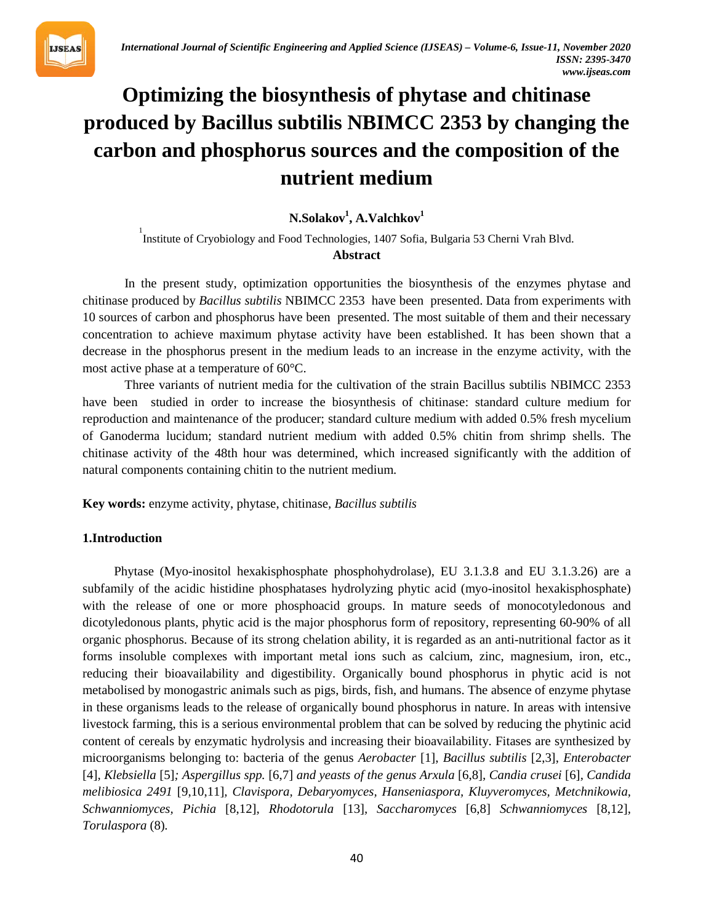

# **Optimizing the biosynthesis of phytase and chitinase produced by Bacillus subtilis NBIMCC 2353 by changing the carbon and phosphorus sources and the composition of the nutrient medium**

 $N$ .Solakov<sup>1</sup>, A.Valchkov<sup>1</sup>

<sup>1</sup>
Institute of Cryobiology and Food Technologies, 1407 Sofia, Bulgaria 53 Cherni Vrah Blvd. **Abstract**

In the present study, optimization opportunities the biosynthesis of the enzymes phytase and chitinase produced by *Bacillus subtilis* NBIMCC 2353 have been presented. Data from experiments with 10 sources of carbon and phosphorus have been presented. The most suitable of them and their necessary concentration to achieve maximum phytase activity have been established. It has been shown that a decrease in the phosphorus present in the medium leads to an increase in the enzyme activity, with the most active phase at a temperature of 60°C.

Three variants of nutrient media for the cultivation of the strain Bacillus subtilis NBIMCC 2353 have been studied in order to increase the biosynthesis of chitinase: standard culture medium for reproduction and maintenance of the producer; standard culture medium with added 0.5% fresh mycelium of Ganoderma lucidum; standard nutrient medium with added 0.5% chitin from shrimp shells. The chitinase activity of the 48th hour was determined, which increased significantly with the addition of natural components containing chitin to the nutrient medium.

**Key words:** enzyme activity, phytase, chitinase*, Bacillus subtilis*

# **1.Introduction**

Phytase (Myo-inositol hexakisphosphate phosphohydrolase), EU 3.1.3.8 and EU 3.1.3.26) are a subfamily of the acidic histidine phosphatases hydrolyzing phytic acid (myo-inositol hexakisphosphate) with the release of one or more phosphoacid groups. In mature seeds of monocotyledonous and dicotyledonous plants, phytic acid is the major phosphorus form of repository, representing 60-90% of all organic phosphorus. Because of its strong chelation ability, it is regarded as an anti-nutritional factor as it forms insoluble complexes with important metal ions such as calcium, zinc, magnesium, iron, etc., reducing their bioavailability and digestibility. Organically bound phosphorus in phytic acid is not metabolised by monogastric animals such as pigs, birds, fish, and humans. The absence of enzyme phytase in these organisms leads to the release of organically bound phosphorus in nature. In areas with intensive livestock farming, this is a serious environmental problem that can be solved by reducing the phytinic acid content of cereals by enzymatic hydrolysis and increasing their bioavailability. Fitases are synthesized by microorganisms belonging to: bacteria of the genus *Aerobacter* [1], *Bacillus subtilis* [2,3], *Enterobacter*  [4]*, Klebsiella* [5]*; Aspergillus spp.* [6,7] *and yeasts of the genus Arxula* [6,8]*, Candia crusei* [6]*, Candida melibiosica 2491* [9,10,11]*, Clavispora, Debaryomyces, Hanseniaspora, Kluyveromyces, Metchnikowia, Schwanniomyces, Pichia* [8,12]*, Rhodotorula* [13]*, Saccharomyces* [6,8] *Schwanniomyces* [8,12]*, Torulaspora* (8)*.*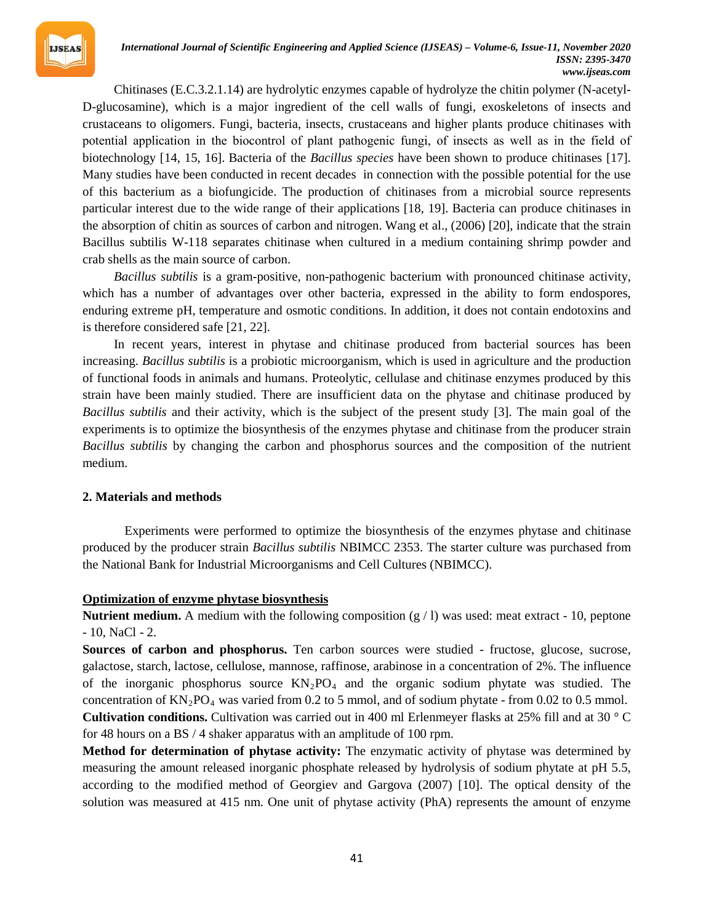

#### *International Journal of Scientific Engineering and Applied Science (IJSEAS) – Volume-6, Issue-11, November 2020 ISSN: 2395-3470 www.ijseas.com*

Chitinases (E.C.3.2.1.14) are hydrolytic enzymes capable of hydrolyze the chitin polymer (N-acetyl-D-glucosamine), which is a major ingredient of the cell walls of fungi, exoskeletons of insects and crustaceans to oligomers. Fungi, bacteria, insects, crustaceans and higher plants produce chitinases with potential application in the biocontrol of plant pathogenic fungi, оf insects as well as in the field of biotechnology [14, 15, 16]. Bacteria of the *Bacillus species* have been shown to produce chitinases [17]. Many studies have been conducted in recent decades in connection with the possible potential for the use of this bacterium as a biofungicide. The production of chitinases from a microbial source represents particular interest due to the wide range of their applications [18, 19]. Bacteria can produce chitinases in the absorption of chitin as sources of carbon and nitrogen. Wang et al., (2006) [20], indicate that the strain Bacillus subtilis W-118 separates chitinase when cultured in a medium containing shrimp powder and crab shells as the main source of carbon.

*Bacillus subtilis* is a gram-positive, non-pathogenic bacterium with pronounced chitinase activity, which has a number of advantages over other bacteria, expressed in the ability to form endospores, enduring extreme pH, temperature and osmotic conditions. In addition, it does not contain endotoxins and is therefore considered safe [21, 22].

In recent years, interest in phytase and chitinase produced from bacterial sources has been increasing. *Bacillus subtilis* is a probiotic microorganism, which is used in agriculture and the production of functional foods in animals and humans. Proteolytic, cellulase and chitinase enzymes produced by this strain have been mainly studied. There are insufficient data on the phytase and chitinase produced by *Bacillus subtilis* and their activity, which is the subject of the present study [3]. The main goal of the experiments is to optimize the biosynthesis of the enzymes phytase and chitinase from the producer strain *Bacillus subtilis* by changing the carbon and phosphorus sources and the composition of the nutrient medium.

#### **2. Materials and methods**

Experiments were performed to optimize the biosynthesis of the enzymes phytase and chitinase produced by the producer strain *Bacillus subtilis* NBIMCC 2353. The starter culture was purchased from the National Bank for Industrial Microorganisms and Cell Cultures (NBIMCC).

# **22TU** Optimization of enzyme phytase biosynthesis

**Nutrient medium.** A medium with the following composition  $(g / 1)$  was used: meat extract - 10, peptone - 10, NaCl - 2.

**Sources of carbon and phosphorus.** Ten carbon sources were studied - fructose, glucose, sucrose, galactose, starch, lactose, cellulose, mannose, raffinose, arabinose in a concentration of 2%. The influence of the inorganic phosphorus source  $KN_2PO_4$  and the organic sodium phytate was studied. The concentration of  $KN_2PO_4$  was varied from 0.2 to 5 mmol, and of sodium phytate - from 0.02 to 0.5 mmol. **Cultivation conditions.** Cultivation was carried out in 400 ml Erlenmeyer flasks at 25% fill and at 30 ° C for 48 hours on a BS / 4 shaker apparatus with an amplitude of 100 rpm.

**Method for determination of phytase activity:** The enzymatic activity of phytase was determined by measuring the amount released inorganic phosphate released by hydrolysis of sodium phytate at pH 5.5, according to the modified method of Georgiev and Gargova (2007) [10]. The optical density of the solution was measured at 415 nm. One unit of phytase activity (PhA) represents the amount of enzyme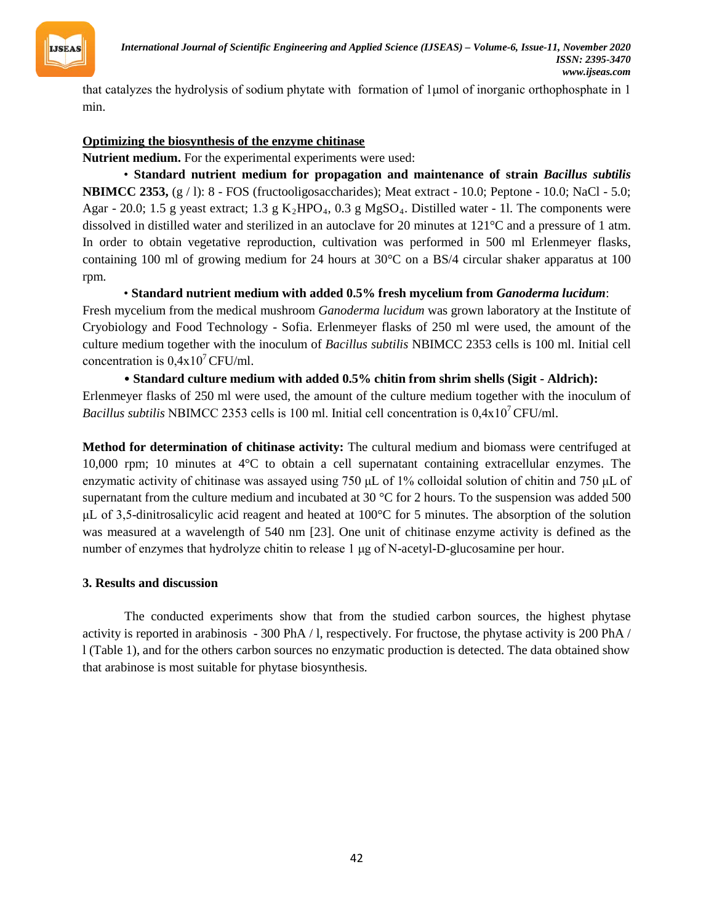

that catalyzes the hydrolysis of sodium phytate with formation of 1μmol of inorganic orthophosphate in 1 min.

# *32TU***Optimizing the biosynthesis of the enzyme chitinase**

**Nutrient medium.** For the experimental experiments were used:

*32T*• **Standard nutrient medium for propagation and maintenance of strain** *Bacillus subtilis* **NBIMCC 2353,** (g / l): 8 - FOS (fructooligosaccharides); Meat extract - 10.0; Peptone - 10.0; NaCl - 5.0; Agar - 20.0; 1.5 g yeast extract; 1.3 g K<sub>2</sub>HPO<sub>4</sub>, 0.3 g MgSO<sub>4</sub>. Distilled water - 1l. The components were dissolved in distilled water and sterilized in an autoclave for 20 minutes at 121<sup>°</sup>C and a pressure of 1 atm. In order to obtain vegetative reproduction, cultivation was performed in 500 ml Erlenmeyer flasks, containing 100 ml of growing medium for 24 hours at 30°C on a BS/4 circular shaker apparatus at 100 rpm.

• **Standard nutrient medium with added 0.5% fresh mycelium from** *Ganoderma lucidum*:

Fresh mycelium from the medical mushroom *Ganoderma lucidum* was grown laboratory at the Institute of Cryobiology and Food Technology - Sofia. Erlenmeyer flasks of 250 ml were used, the amount of the culture medium together with the inoculum of *Bacillus subtilis* NBIMCC 2353 cells is 100 ml. Initial cell concentration is  $0,4x10^7$  CFU/ml.

• **Standard culture medium with added 0.5% chitin from shrim shells (Sigit - Aldrich):** Erlenmeyer flasks of 250 ml were used, the amount of the culture medium together with the inoculum of *Bacillus subtilis* NBIMCC 2353 cells is 100 ml. Initial cell concentration is  $0,4x10^7$ CFU/ml.

**Method for determination of chitinase activity:** The cultural medium and biomass were centrifuged at 10,000 rpm; 10 minutes at 4°C to obtain a cell supernatant containing extracellular enzymes. The enzymatic activity of chitinase was assayed using 750 μL of 1% colloidal solution of chitin and 750 μL of supernatant from the culture medium and incubated at 30 °C for 2 hours. To the suspension was added 500 μL of 3,5-dinitrosalicylic acid reagent and heated at 100°C for 5 minutes. The absorption of the solution was measured at a wavelength of 540 nm [23]. One unit of chitinase enzyme activity is defined as the number of enzymes that hydrolyze chitin to release 1 μg of N-acetyl-D-glucosamine per hour.

# **3. Results and discussion**

The conducted experiments show that from the studied carbon sources, the highest phytase activity is reported in arabinosis - 300 PhA / l, respectively. For fructose, the phytase activity is 200 PhA / l (Table 1), and for the others carbon sources no enzymatic production is detected. The data obtained show that arabinose is most suitable for phytase biosynthesis.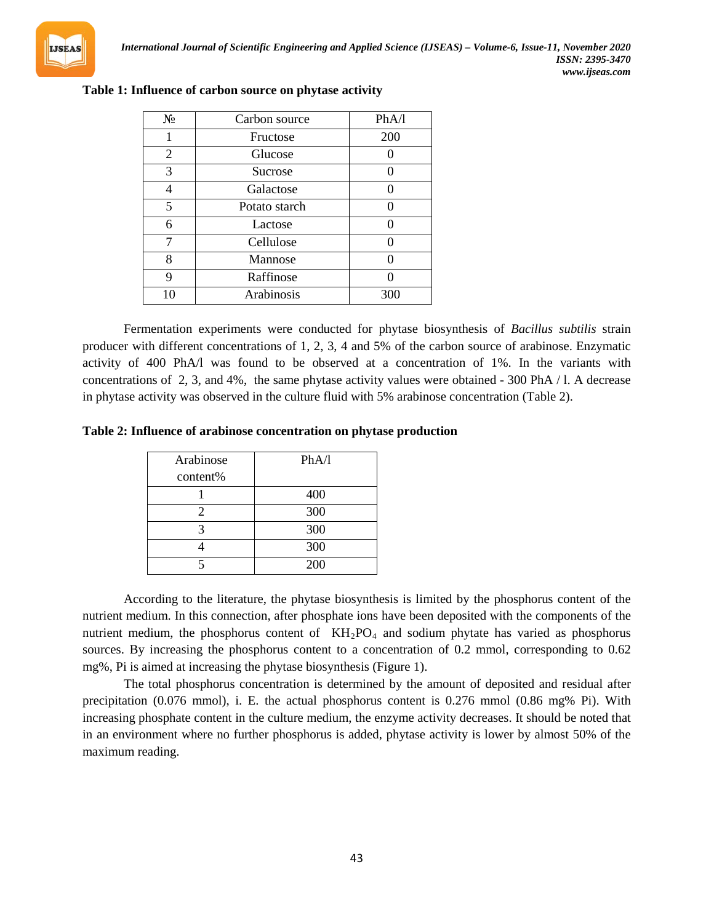

| $N_2$ | Carbon source | PhA/l |
|-------|---------------|-------|
|       | Fructose      | 200   |
| 2     | Glucose       |       |
| 3     | Sucrose       |       |
|       | Galactose     |       |
| 5     | Potato starch |       |
| 6     | Lactose       |       |
| 7     | Cellulose     |       |
| 8     | Mannose       |       |
| 9     | Raffinose     |       |
| 10    | Arabinosis    | 300   |

#### **Table 1: Influence of carbon source on phytase activity**

Fermentation experiments were conducted for phytase biosynthesis of *Bacillus subtilis* strain producer with different concentrations of 1, 2, 3, 4 and 5% of the carbon source of arabinose. Enzymatic activity of 400 PhA/l was found to be observed at a concentration of 1%. In the variants with concentrations of 2, 3, and 4%, the same phytase activity values were obtained - 300 PhA / l. A decrease in phytase activity was observed in the culture fluid with 5% arabinose concentration (Table 2).

#### **Table 2: Influence of arabinose concentration on phytase production**

| Arabinose | PhA/l |
|-----------|-------|
| content%  |       |
|           | 400   |
| 2         | 300   |
| 2         | 300   |
|           | 300   |
|           | 200   |

According to the literature, the phytase biosynthesis is limited by the phosphorus content of the nutrient medium. In this connection, after phosphate ions have been deposited with the components of the nutrient medium, the phosphorus content of KH<sub>2</sub>PO<sub>4</sub> and sodium phytate has varied as phosphorus sources. By increasing the phosphorus content to a concentration of 0.2 mmol, corresponding to 0.62 mg%, Pi is aimed at increasing the phytase biosynthesis (Figure 1).

The total phosphorus concentration is determined by the amount of deposited and residual after precipitation (0.076 mmol), i. E. the actual phosphorus content is 0.276 mmol (0.86 mg% Pi). With increasing phosphate content in the culture medium, the enzyme activity decreases. It should be noted that in an environment where no further phosphorus is added, phytase activity is lower by almost 50% of the maximum reading.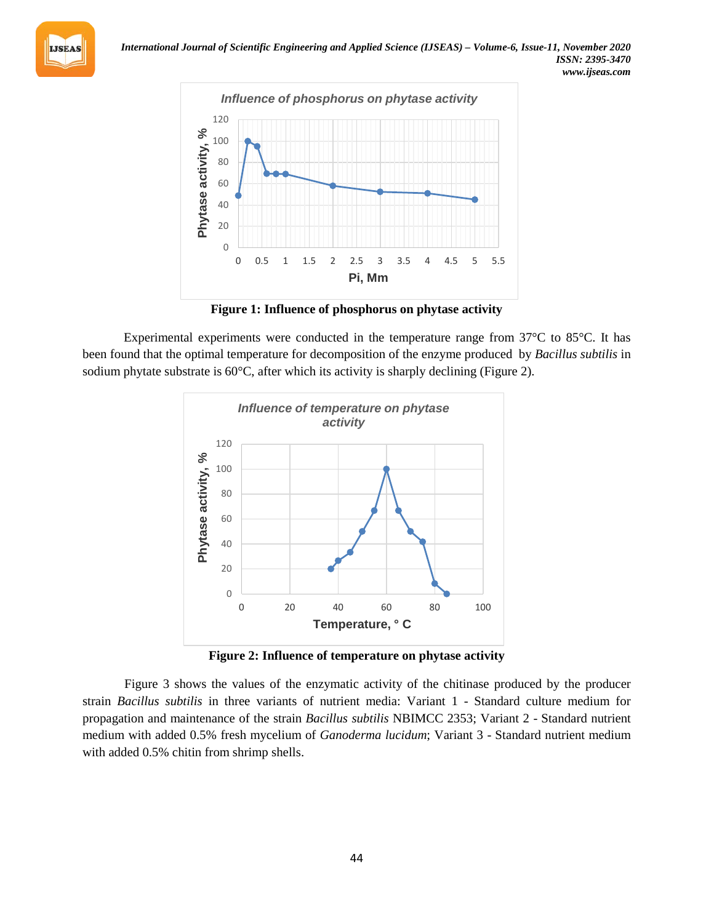



**Figure 1: Influence of phosphorus on phytase activity**

Experimental experiments were conducted in the temperature range from 37°C to 85°C. It has been found that the optimal temperature for decomposition of the enzyme produced by *Bacillus subtilis* in sodium phytate substrate is 60°C, after which its activity is sharply declining (Figure 2).



**Figure 2: Influence of temperature on phytase activity**

Figure 3 shows the values of the enzymatic activity of the chitinase produced by the producer strain *Bacillus subtilis* in three variants of nutrient media: Variant 1 - Standard culture medium for propagation and maintenance of the strain *Bacillus subtilis* NBIMCC 2353; Variant 2 - Standard nutrient medium with added 0.5% fresh mycelium of *Ganoderma lucidum*; Variant 3 - Standard nutrient medium with added 0.5% chitin from shrimp shells.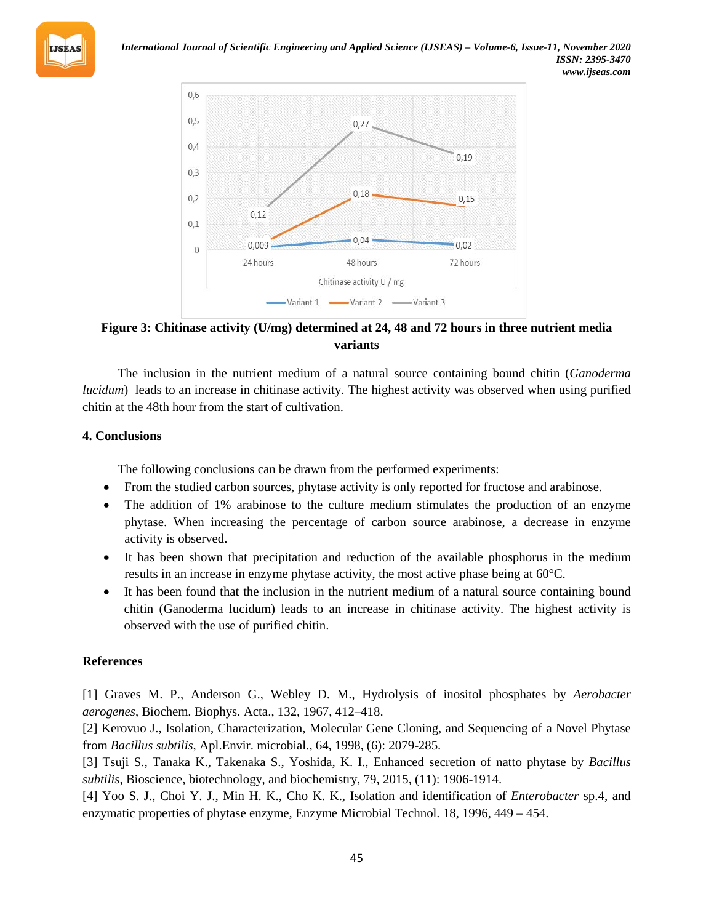



**Figure 3: Chitinase activity (U/mg) determined at 24, 48 and 72 hours in three nutrient media variants**

The inclusion in the nutrient medium of a natural source containing bound chitin (*Ganoderma lucidum*) leads to an increase in chitinase activity. The highest activity was observed when using purified chitin at the 48th hour from the start of cultivation.

# **4. Conclusions**

The following conclusions can be drawn from the performed experiments:

- From the studied carbon sources, phytase activity is only reported for fructose and arabinose.
- The addition of 1% arabinose to the culture medium stimulates the production of an enzyme phytase. When increasing the percentage of carbon source arabinose, a decrease in enzyme activity is observed.
- It has been shown that precipitation and reduction of the available phosphorus in the medium results in an increase in enzyme phytase activity, the most active phase being at 60°C.
- It has been found that the inclusion in the nutrient medium of a natural source containing bound chitin (Ganoderma lucidum) leads to an increase in chitinase activity. The highest activity is observed with the use of purified chitin.

# **References**

[1] Graves M. P., Anderson G., Webley D. M., Hydrolysis of inositol phosphates by *Aerobacter aerogenes*, Biochem. Biophys. Acta., 132, 1967, 412–418.

[2] Kerovuo J., Isolation, Characterization, Molecular Gene Cloning, and Sequencing of a Novel Phytase from *Bacillus subtilis*, Apl.Envir. microbial., 64, 1998, (6): 2079-285.

[3] Tsuji S., Tanaka K., Takenaka S., Yoshida, K. I., Enhanced secretion of natto phytase by *Bacillus subtilis*, Bioscience, biotechnology, and biochemistry, 79, 2015, (11): 1906-1914.

[4] Yoo S. J., Choi Y. J., Min H. K., Cho K. K., Isolation and identification of *Enterobacter* sp.4, and enzymatic properties of phytase enzyme*,* Enzyme Microbial Technol. 18, 1996, 449 – 454.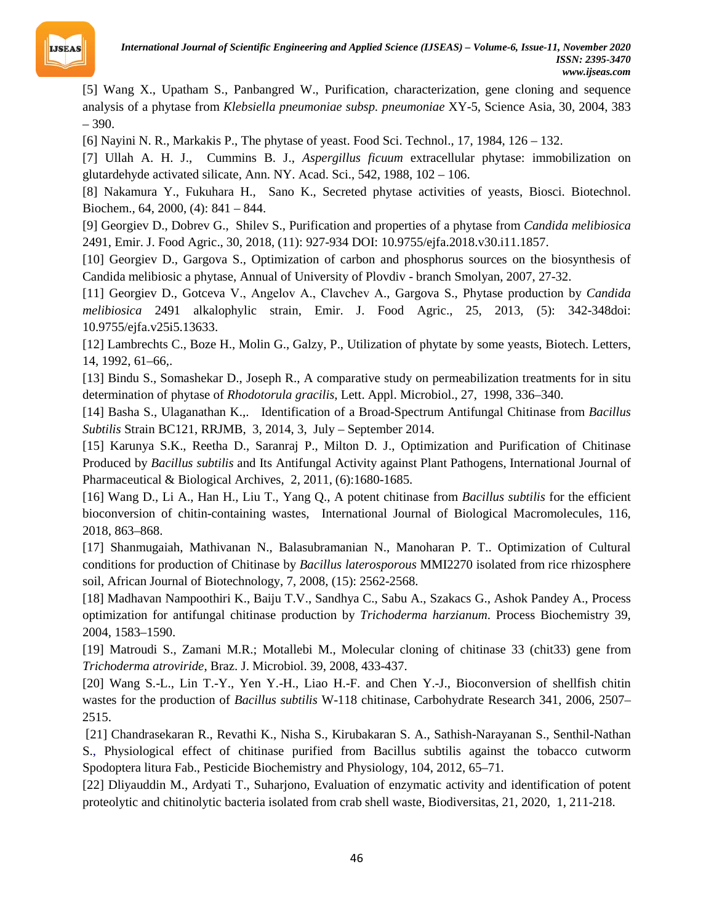

[5] Wang X., Upatham S., Panbangred W., Purification, characterization, gene cloning and sequence analysis of a phytase from *Klebsiella pneumoniae subsp. pneumoniae* XY-5, Science Asia, 30, 2004, 383 – 390.

[6] Nayini N. R., Markakis P., The phytase of yeast. Food Sci. Technol., 17, 1984, 126 – 132.

[7] Ullah A. H. J., Cummins B. J., *Aspergillus ficuum* extracellular phytase: immobilization on glutardehyde activated silicate, Ann. NY. Acad. Sci., 542, 1988, 102 – 106.

[8] Nakamura Y., Fukuhara H., Sano K., Secreted phytase activities of yeasts, Biosci. Biotechnol. Biochem.*,* 64, 2000, (4): 841 – 844.

[9] Georgiev D., Dobrev G., Shilev S., Purification and properties of a phytase from *Candida melibiosica* 2491, Emir. J. Food Agric., 30, 2018, (11): 927-934 DOI: 10.9755/ejfa.2018.v30.i11.1857.

[10] Georgiev D., Gargova S., Optimization of carbon and phosphorus sources on the biosynthesis of Candida melibiosic a phytase, Annual of University of Plovdiv - branch Smolyan, 2007, 27-32.

[11] Georgiev D., Gotceva V., Аngelov A., Сlavchev A., Gargova S., Phytase production by *Candida melibiosica* 2491 alkalophylic strain, Emir. J. Food Agric., 25, 2013, (5): 342-348doi: 10.9755/ejfa.v25i5.13633.

[12] Lambrechts C., Boze H., Molin G., Galzy, P., Utilization of phytate by some yeasts, Biotech. Letters, 14, 1992, 61–66,.

[13] Bindu S., Somashekar D., Joseph R., A comparative study on permeabilization treatments for in situ determination of phytase of *Rhodotorula gracilis*, Lett. Appl. Microbiol., 27, 1998, 336–340.

[14] Basha S., Ulaganathan K.,. Identification of a Broad-Spectrum Antifungal Chitinase from *Bacillus Subtilis* Strain BC121, RRJMB, 3, 2014, 3, July – September 2014.

[15] Karunya S.K., Reetha D., Saranraj P., Milton D. J., Optimization and Purification of Chitinase Produced by *Bacillus subtilis* and Its Antifungal Activity against Plant Pathogens, International Journal of Pharmaceutical & Biological Archives, 2, 2011, (6):1680-1685.

[16] Wang D., Li A., Han H., Liu T., Yang Q., A potent chitinase from *Bacillus subtilis* for the efficient bioconversion of chitin-containing wastes, International Journal of Biological Macromolecules, 116, 2018, 863–868.

[17] Shanmugaiah, Mathivanan N., Balasubramanian N., Manoharan P. T.. Optimization of Cultural conditions for production of Chitinase by *Bacillus laterosporous* MMI2270 isolated from rice rhizosphere soil, African Journal of Biotechnology, 7, 2008, (15): 2562-2568.

[18] Madhavan Nampoothiri K., Baiju T.V., Sandhya C., Sabu A., Szakacs G., Ashok Pandey A., Process optimization for antifungal chitinase production by *Trichoderma harzianum*. Process Biochemistry 39, 2004, 1583–1590.

[19] Matroudi S., Zamani M.R.; Motallebi M., Molecular cloning of chitinase 33 (chit33) gene from *Trichoderma atroviride*, Braz. J. Microbiol. 39, 2008, 433-437.

[20] Wang S.-L., Lin T.-Y., Yen Y.-H., Liao H.-F. and Chen Y.-J., Bioconversion of shellfish chitin wastes for the production of *Bacillus subtilis* W-118 chitinase, Carbohydrate Research 341, 2006, 2507– 2515.

[21] Chandrasekaran R., Revathi K., Nisha S., Kirubakaran S. A., Sathish-Narayanan S., Senthil-Nathan S., Physiological effect of chitinase purified from Bacillus subtilis against the tobacco cutworm Spodoptera litura Fab., Pesticide Biochemistry and Physiology, 104, 2012, 65–71.

[22] Dliyauddin M., Ardyati T., Suharjono, Evaluation of enzymatic activity and identification of potent proteolytic and chitinolytic bacteria isolated from crab shell waste, Biodiversitas, 21, 2020, 1, 211-218.